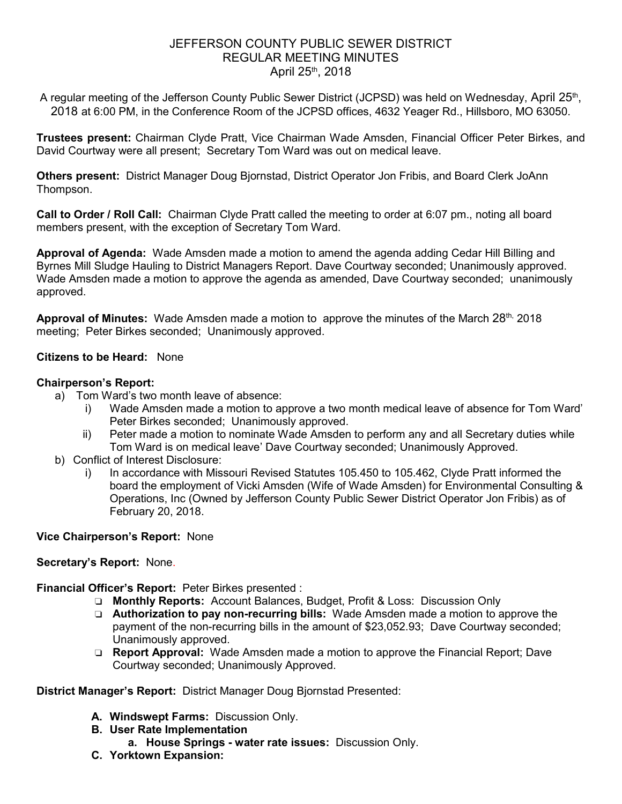# JEFFERSON COUNTY PUBLIC SEWER DISTRICT REGULAR MEETING MINUTES April 25th, 2018

A regular meeting of the Jefferson County Public Sewer District (JCPSD) was held on Wednesday, April 25<sup>th</sup>, 2018 at 6:00 PM, in the Conference Room of the JCPSD offices, 4632 Yeager Rd., Hillsboro, MO 63050.

**Trustees present:** Chairman Clyde Pratt, Vice Chairman Wade Amsden, Financial Officer Peter Birkes, and David Courtway were all present; Secretary Tom Ward was out on medical leave.

**Others present:** District Manager Doug Bjornstad, District Operator Jon Fribis, and Board Clerk JoAnn Thompson.

**Call to Order / Roll Call:** Chairman Clyde Pratt called the meeting to order at 6:07 pm., noting all board members present, with the exception of Secretary Tom Ward.

**Approval of Agenda:** Wade Amsden made a motion to amend the agenda adding Cedar Hill Billing and Byrnes Mill Sludge Hauling to District Managers Report. Dave Courtway seconded; Unanimously approved. Wade Amsden made a motion to approve the agenda as amended, Dave Courtway seconded; unanimously approved.

**Approval of Minutes:** Wade Amsden made a motion to approve the minutes of the March 28th, 2018 meeting; Peter Birkes seconded; Unanimously approved.

## **Citizens to be Heard:** None

## **Chairperson's Report:**

- a) Tom Ward's two month leave of absence:
	- i) Wade Amsden made a motion to approve a two month medical leave of absence for Tom Ward' Peter Birkes seconded; Unanimously approved.
	- ii) Peter made a motion to nominate Wade Amsden to perform any and all Secretary duties while Tom Ward is on medical leave' Dave Courtway seconded; Unanimously Approved.
- b) Conflict of Interest Disclosure:
	- i) In accordance with Missouri Revised Statutes 105.450 to 105.462, Clyde Pratt informed the board the employment of Vicki Amsden (Wife of Wade Amsden) for Environmental Consulting & Operations, Inc (Owned by Jefferson County Public Sewer District Operator Jon Fribis) as of February 20, 2018.

## **Vice Chairperson's Report:** None

## **Secretary's Report:** None.

**Financial Officer's Report:** Peter Birkes presented :

- ❏ **Monthly Reports:** Account Balances, Budget, Profit & Loss: Discussion Only
- ❏ **Authorization to pay non-recurring bills:** Wade Amsden made a motion to approve the payment of the non-recurring bills in the amount of \$23,052.93; Dave Courtway seconded; Unanimously approved.
- ❏ **Report Approval:** Wade Amsden made a motion to approve the Financial Report; Dave Courtway seconded; Unanimously Approved.

## **District Manager's Report:** District Manager Doug Bjornstad Presented:

- **A. Windswept Farms:** Discussion Only.
- **B. User Rate Implementation** 
	- **a. House Springs water rate issues:** Discussion Only.
- **C. Yorktown Expansion:**